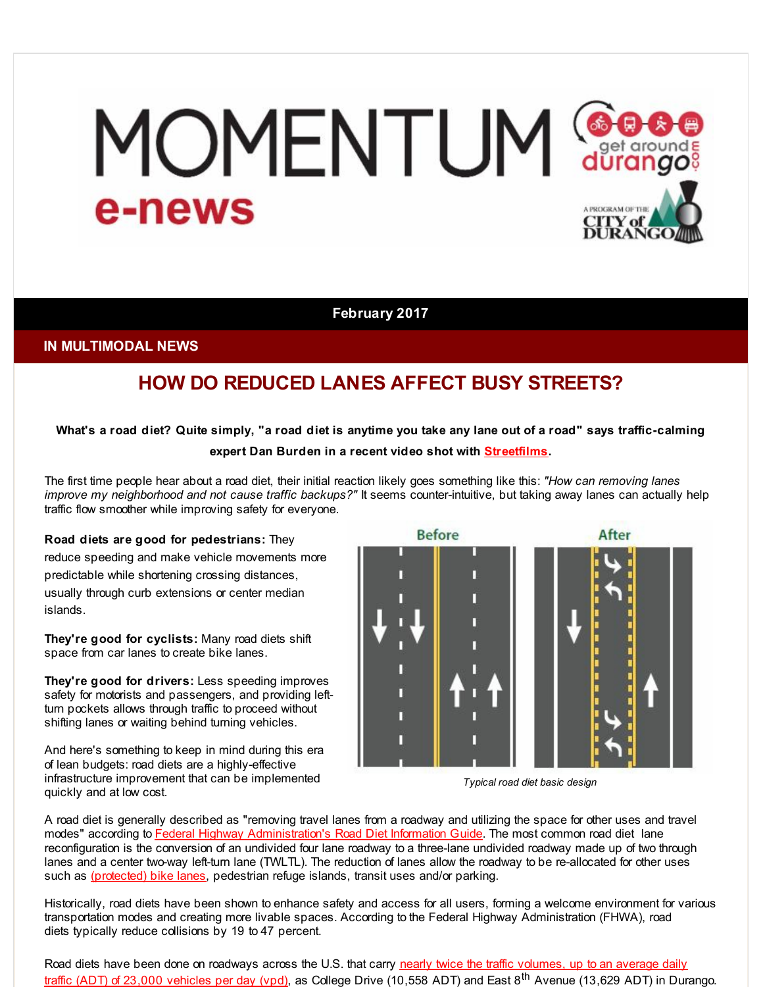# MOMENTUM Ge e-news A PROGRAM OF THE TY of

#### **February 2017**

#### **IN MULTIMODAL NEWS**

# **HOW DO REDUCED LANES AFFECT BUSY STREETS?**

### What's a road diet? Quite simply, "a road diet is anytime you take any lane out of a road" says traffic-calming **expert Dan Burden in a recent video shot with [Streetfilms](http://r20.rs6.net/tn.jsp?f=001wf6JbbRBbJBLbtO_82lvl96Pq3HkkF29EMfTke3EygPmeKaf3h2HHwTguSbbV-J0QLn880vJ178lZcMgUBiZjNiixtJ2uPNOYDHIMTOzE3TeJTPWsiwCkzBIIQDeaPdzqx98JmU7D7xf7WG_78an3TfCom2ZS_i33nMODOBjEiyewi4twxscEw==&c=&ch=).**

The first time people hear about a road diet, their initial reaction likely goes something like this: *"How can removing lanes improve my neighborhood and not cause traffic backups?"* It seems counter-intuitive, but taking away lanes can actually help traffic flow smoother while improving safety for everyone.

#### **Road diets are good for pedestrians:** They

reduce speeding and make vehicle movements more predictable while shortening crossing distances,

usually through curb extensions or center median islands.

**They're good for cyclists:** Many road diets shift space from car lanes to create bike lanes.

**They're good for drivers:** Less speeding improves safety for motorists and passengers, and providing leftturn pockets allows through traffic to proceed without shifting lanes or waiting behind turning vehicles.

And here's something to keep in mind during this era of lean budgets: road diets are a highly-effective infrastructure improvement that can be implemented quickly and at low cost.



*Typical road diet basic design*

A road diet is generally described as "removing travel lanes from a roadway and utilizing the space for other uses and travel modes" according to Federal Highway [Administration's](http://r20.rs6.net/tn.jsp?f=001wf6JbbRBbJBLbtO_82lvl96Pq3HkkF29EMfTke3EygPmeKaf3h2HHwTguSbbV-J0JFSFUiT7j_cjEfq8azILAW-N808j1fWMqzxGcbmDCD7Cht4YANky6VfHcHeFoL_97H3D9OdAOfUMvGGmpPK4J5SwIZPDDQ06QP5AyDukhnKTDTJy9VFMiKxsvPNtswtJn5_JAHmkvg1_JITkfVA0Yg==&c=&ch=) Road Diet Information Guide. The most common road diet lane reconfiguration is the conversion of an undivided four lane roadway to a three-lane undivided roadway made up of two through lanes and a center two-way left-turn lane (TWLTL). The reduction of lanes allow the roadway to be re-allocated for other uses such as [\(protected\)](http://r20.rs6.net/tn.jsp?f=001wf6JbbRBbJBLbtO_82lvl96Pq3HkkF29EMfTke3EygPmeKaf3h2HHwTguSbbV-J0-FqQA46a8h4B1N-KpZZsfbrkPHPHm2FZ1SXQ3JFIc_AYJXyWfqO9AdnmKeXRjhwcTxejprtYPMTo_cAitapG7it2GRE_lqy1jGXWdOPM42pPwIXdjjZxszlG6DKi6tVUYDUd_GErTUKx0tjtMjr1ug==&c=&ch=) bike lanes, pedestrian refuge islands, transit uses and/or parking.

Historically, road diets have been shown to enhance safety and access for all users, forming a welcome environment for various transportation modes and creating more livable spaces. According to the Federal Highway Administration (FHWA), road diets typically reduce collisions by 19 to 47 percent.

Road diets have been done on [roadways](http://r20.rs6.net/tn.jsp?f=001wf6JbbRBbJBLbtO_82lvl96Pq3HkkF29EMfTke3EygPmeKaf3h2HHwTguSbbV-J0H4FP6AwviTLeSEjHFMJsb-jS6rsGwadrL96GnG-os2lu6yEaEfB9aQeWFHaGnYnY26O9TP2GxEjBSjaWsgDxFTNMGzHMzq35eteCSx3ZnVW-gFy38T_OReN5sd82OjSCsFusXWZSpFzJM3J_Y4QwRuyHZajOp-76&c=&ch=) across the U.S. that carry nearly twice the traffic volumes, up to an average daily traffic (ADT) of 23,000 vehicles per day (vpd), as College Drive (10,558 ADT) and East 8<sup>th</sup> Avenue (13,629 ADT) in Durango.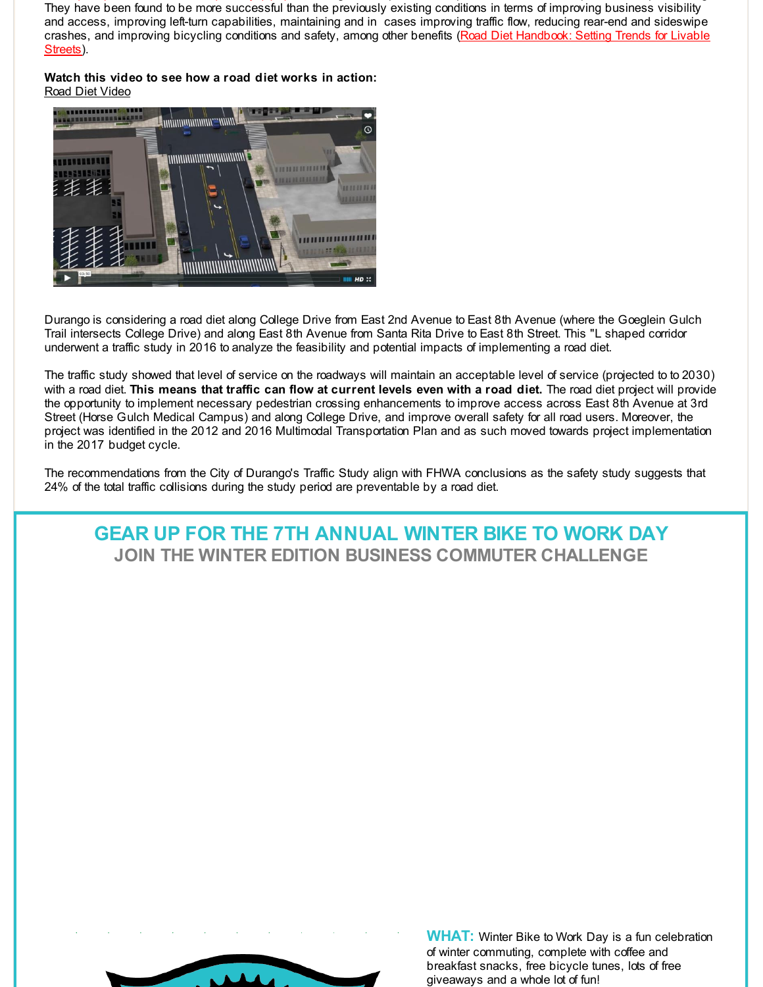They have been found to be more successful than the previously existing conditions in terms of improving business visibility and access, improving left-turn capabilities, maintaining and in cases improving traffic flow, reducing rear-end and sideswipe crashes, and improving bicycling conditions and safety, among other benefits (Road Diet [Handbook:](http://r20.rs6.net/tn.jsp?f=001wf6JbbRBbJBLbtO_82lvl96Pq3HkkF29EMfTke3EygPmeKaf3h2HHwTguSbbV-J0P0Ze1kOKq7IeQlJ6aD_idjhFqbD2FUzjkO_tlvfyZW--O1OpmnjLJxb9aymKHIW27I9Y1MdxSkPyiTyx6-wPEA1j8wCwv_VROtb-MYJDfGi8ItpyckYHcHmZpbo74P28cfUcM0Rlr1dKcTuRm5HWATX82EToHt2KTLOMg7ax0oMxNuWz943OLmPedx56wfUaqXVUUQ_gqoEIsQL0vlqLAbHoUjJcqTpg&c=&ch=) Setting Trends for Livable Streets).

**Watch this video to see how a road diet works in action:** Road Diet [Video](http://r20.rs6.net/tn.jsp?f=001wf6JbbRBbJBLbtO_82lvl96Pq3HkkF29EMfTke3EygPmeKaf3h2HHwTguSbbV-J0i_gGA0boEzaPtv8Gc7a5vfCktQfEkHMpeUKdNLAUci-vg3s020LGM_TBqOT8wkN_qY1LPjWGVG8Ibv7WrlMOmflktkNMHoIEA8-OnRQIgOuafyQHjyi7Q6nMkc102ht2&c=&ch=)



Durango is considering a road diet along College Drive from East 2nd Avenue to East 8th Avenue (where the Goeglein Gulch Trail intersects College Drive) and along East 8th Avenue from Santa Rita Drive to East 8th Street. This "L shaped corridor underwent a traffic study in 2016 to analyze the feasibility and potential impacts of implementing a road diet.

The traffic study showed that level of service on the roadways will maintain an acceptable level of service (projected to to 2030) with a road diet. **This means that traffic can flow at current levels even with a road diet.** The road diet project will provide the opportunity to implement necessary pedestrian crossing enhancements to improve access across East 8th Avenue at 3rd Street (Horse Gulch Medical Campus) and along College Drive, and improve overall safety for all road users. Moreover, the project was identified in the 2012 and 2016 Multimodal Transportation Plan and as such moved towards project implementation in the 2017 budget cycle.

The recommendations from the City of Durango's Traffic Study align with FHWA conclusions as the safety study suggests that 24% of the total traffic collisions during the study period are preventable by a road diet.

# **GEAR UP FOR THE 7TH ANNUAL WINTER BIKE TO WORK DAY JOIN THE WINTER EDITION BUSINESS COMMUTER CHALLENGE**

**WHAT:** Winter Bike to Work Day is a fun celebration of winter commuting, complete with coffee and breakfast snacks, free bicycle tunes, lots of free giveaways and a whole lot of fun!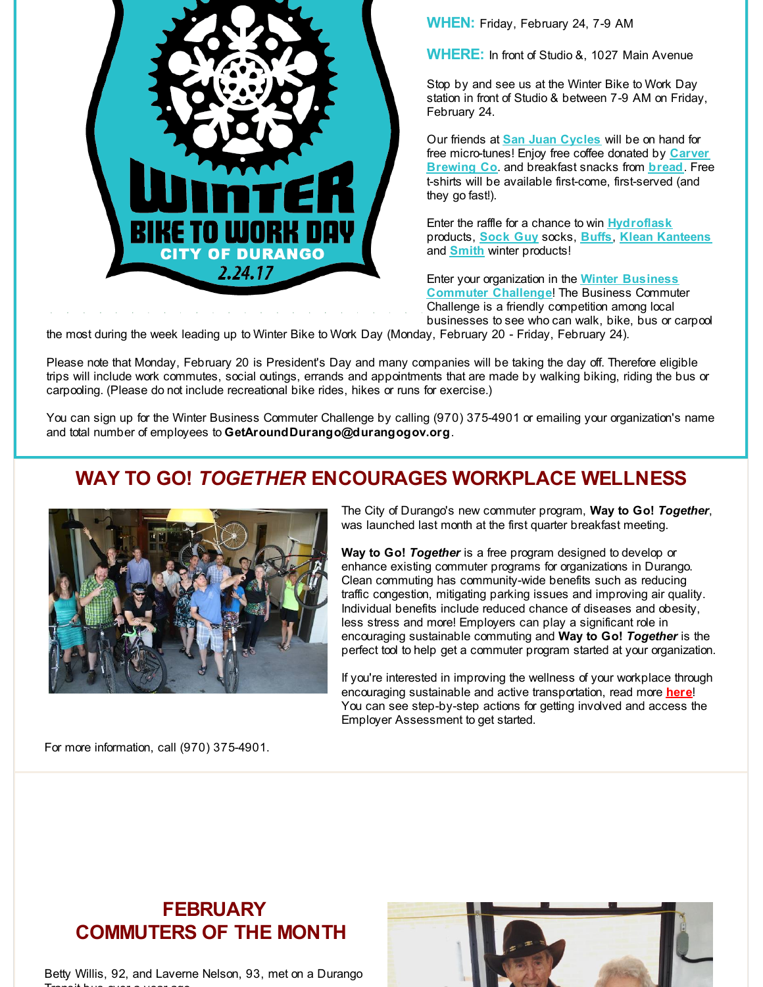

**WHEN:** Friday, February 24, 7-9 AM

**WHERE:** In front of Studio &, 1027 Main Avenue

Stop by and see us at the Winter Bike to Work Day station in front of Studio & between 7-9 AM on Friday, February 24.

Our friends at **San Juan [Cycles](http://r20.rs6.net/tn.jsp?f=001wf6JbbRBbJBLbtO_82lvl96Pq3HkkF29EMfTke3EygPmeKaf3h2HH9bazbNiGvlL9SkjinG7C_MzNVqxQe5bSuORn1ckGcfr23R8-Dpjo2ruZ9vgvqhf5lm45jRfswLpyWjMPQ2dxBQ2atVZ3u-Do6sWYowe8g2OoqfGyvcFxGwGLd5hfj-HRA==&c=&ch=)** will be on hand for free [micro-tunes!](http://r20.rs6.net/tn.jsp?f=001wf6JbbRBbJBLbtO_82lvl96Pq3HkkF29EMfTke3EygPmeKaf3h2HH-iLKLJPgS7vGjA9MUl5exELVN8ajSgFrrN2RQnmGQyZp4-05Is2JYs85p5uXxgI1hO5jfVWrjgP8WA7Bfswrzj_DymXrtH7BkMI0LuTPi2NTQgARIrrsyU=&c=&ch=) Enjoy free coffee donated by **Carver Brewing Co**. and breakfast snacks from **[bread](http://r20.rs6.net/tn.jsp?f=001wf6JbbRBbJBLbtO_82lvl96Pq3HkkF29EMfTke3EygPmeKaf3h2HH9YoDlmIU4XFXRduFPc3OheMJv-cz0qFt3XZ06vT5SrmKMlSrHYndiQGKvuVUsgfkFzXEphMpHt9BrBzzrJJH3EbTChZP0_luNSu75MK9lq3mAWrwuF1sR8=&c=&ch=)**. Free t-shirts will be available first-come, first-served (and they go fast!).

Enter the raffle for a chance to win **[Hydroflask](http://r20.rs6.net/tn.jsp?f=001wf6JbbRBbJBLbtO_82lvl96Pq3HkkF29EMfTke3EygPmeKaf3h2HHwgDdXsLUe3bL1tGCwxgwWcblrHNNxHGPNRI1iY3nIflTPX5n8Q86ViTQRZYy6fklAZFQ4XhPTjTRsMFjsZ2bDjwnrAqq6v0xEdBWKd3dkzVMqriD5V8PP27446wdT6djQ==&c=&ch=)** products, **[Sock](http://r20.rs6.net/tn.jsp?f=001wf6JbbRBbJBLbtO_82lvl96Pq3HkkF29EMfTke3EygPmeKaf3h2HH8tUaeomcfSVM19NdC8W08K4uMdQlQS0GSA0J7BpWxupKsykgI758KAUsyrAxII0s66bR1eIpK0OkSNP-mu2KJbkDzCsofcYhmlTSKfycToixX05Wnb4F2E=&c=&ch=) Guy** socks, **[Buffs](http://r20.rs6.net/tn.jsp?f=001wf6JbbRBbJBLbtO_82lvl96Pq3HkkF29EMfTke3EygPmeKaf3h2HH7n_Dc1Gw3XC3aFi-l31agCYwaIZBsUqiFFd9-mammffwcGYtbrXlCQKeZRIL7PMvfeO1lvCTdUPs9s6WuQFARWfSvBo6y7AW4ie0bo56LY-aPWvePnOkYBoTUlSAVW1IXhWCuvVD4u1UbI8X_lHTQ1-5nYFQrqgNA==&c=&ch=)**, **Klean [Kanteens](http://r20.rs6.net/tn.jsp?f=001wf6JbbRBbJBLbtO_82lvl96Pq3HkkF29EMfTke3EygPmeKaf3h2HH7n_Dc1Gw3XCMQN0jVXSxxoXq-pE09bL7f8prlcbPaEHdgeMU3_apvPgQ3j0ZsXpRTLRFQOYZWUQP7mNIwed6ThLxNthyTxdNzjWGlI8uL4MuNbz7a3VHSae9L6rRPmJag==&c=&ch=)** and **[Smith](http://r20.rs6.net/tn.jsp?f=001wf6JbbRBbJBLbtO_82lvl96Pq3HkkF29EMfTke3EygPmeKaf3h2HHzoYK__gM-CpOjW2TKbatFrPnzxpNYZZOfbAL7IiYklFjaTNluq0eDky17Td7MJoHoOSHH01F63YJuTD2GhGeZEqAwzTgA2GWfrC5_o03deA4nDhPyPP8GN7khwCqhWqzg==&c=&ch=)** winter products!

Enter your [organization](http://r20.rs6.net/tn.jsp?f=001wf6JbbRBbJBLbtO_82lvl96Pq3HkkF29EMfTke3EygPmeKaf3h2HH0oleQ9OxoMfRyyVGqSERdMiAbOTLK2V55sh3rGOFCiGthnpqcOAR64r5mC6ZA4LEPjoMXkwJs9G1AmW2eFIK-DjmoauP25__vPDJQ0G2uIJIdLIhk_pcPa5yEJpdlR1qD3sL66ip0GFfEekQq8TX0k=&c=&ch=) in the **Winter Business Commuter Challenge**! The Business Commuter Challenge is a friendly competition among local businesses to see who can walk, bike, bus or carpool

the most during the week leading up to Winter Bike to Work Day (Monday, February 20 - Friday, February 24).

Please note that Monday, February 20 is President's Day and many companies will be taking the day off. Therefore eligible trips will include work commutes, social outings, errands and appointments that are made by walking biking, riding the bus or carpooling. (Please do not include recreational bike rides, hikes or runs for exercise.)

You can sign up for the Winter Business Commuter Challenge by calling (970) 375-4901 or emailing your organization's name and total number of employees to **GetAroundDurango@durangogov.org**.

# **WAY TO GO!** *TOGETHER* **ENCOURAGES WORKPLACE WELLNESS**



The City of Durango's new commuter program, **Way to Go!** *Together*, was launched last month at the first quarter breakfast meeting.

**Way to Go!** *Together* is a free program designed to develop or enhance existing commuter programs for organizations in Durango. Clean commuting has community-wide benefits such as reducing traffic congestion, mitigating parking issues and improving air quality. Individual benefits include reduced chance of diseases and obesity, less stress and more! Employers can play a significant role in encouraging sustainable commuting and **Way to Go!** *Together* is the perfect tool to help get a commuter program started at your organization.

If you're interested in improving the wellness of your workplace through encouraging sustainable and active transportation, read more **[here](http://r20.rs6.net/tn.jsp?f=001wf6JbbRBbJBLbtO_82lvl96Pq3HkkF29EMfTke3EygPmeKaf3h2HH3GS7sB84F3afP9LxCc8J2G48m7MdGyvrlg1kCYjkzcTDUwW0q2y6BVsQWZUVhUTQmMphoX7DlgXlqn2HsxpVC3q2_3BBNpT_EHMfN4S5z_ANsrKjoAIX0HWjbaPYNWQ4k_39GtkUVg2ccItzJZwXAA=&c=&ch=)**! You can see step-by-step actions for getting involved and access the Employer Assessment to get started.

For more information, call (970) 375-4901.

# **FEBRUARY COMMUTERS OF THE MONTH**

Betty Willis, 92, and Laverne Nelson, 93, met on a Durango Transit bus over a year ago.

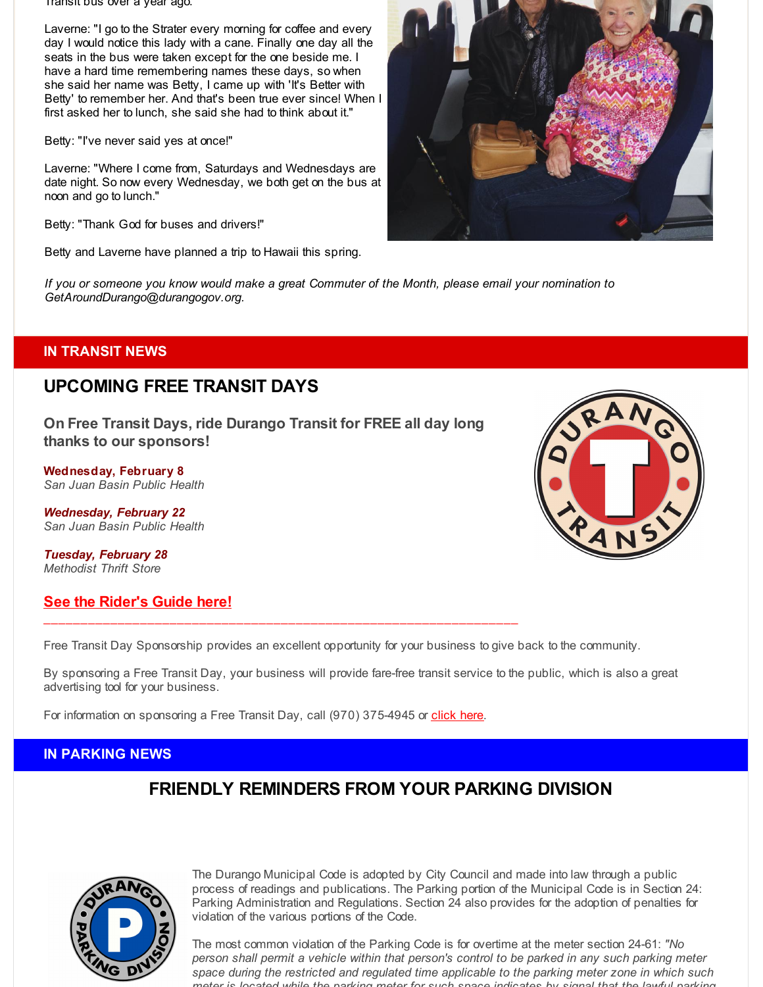Transit bus over a year ago.

Laverne: "I go to the Strater every morning for coffee and every day I would notice this lady with a cane. Finally one day all the seats in the bus were taken except for the one beside me. I have a hard time remembering names these days, so when she said her name was Betty, I came up with 'It's Better with Betty' to remember her. And that's been true ever since! When I first asked her to lunch, she said she had to think about it."

Betty: "I've never said yes at once!"

Laverne: "Where I come from, Saturdays and Wednesdays are date night. So now every Wednesday, we both get on the bus at noon and go to lunch."

Betty: "Thank God for buses and drivers!"

Betty and Laverne have planned a trip to Hawaii this spring.

If you or someone you know would make a great Commuter of the Month, please email your nomination to *GetAroundDurango@durangogov.org.*

### **IN TRANSIT NEWS**

## **UPCOMING FREE TRANSIT DAYS**

**On Free Transit Days, ride Durango Transit for FREE all day long thanks to our sponsors!**

**Wednesday, February 8** *San Juan Basin Public Health*

*Wednesday, February 22 San Juan Basin Public Health*

*Tuesday, February 28 Methodist Thrift Store*

### **See the [Rider's](http://r20.rs6.net/tn.jsp?f=001wf6JbbRBbJBLbtO_82lvl96Pq3HkkF29EMfTke3EygPmeKaf3h2HH9tJMHa9vMNhsfQJVFWoLdFcwMzqKVmr0ostwQhh3a8ZMAGvgtwLGUq2F9N1SqS1VDnAFFw72kqdAHSgLgW3FL2Hkv7CRCZ2P3ATNN8FcJlVjNtVlaLj5jV9i5fj9vADpOMxWTWZMSP5AJLd9ujYnJoeLVNOaiw_hQU0L_2wC7CjQc2pbhwFTdh_sseHNNp0B35PAiqkNTvA&c=&ch=) Guide here!**

Free Transit Day Sponsorship provides an excellent opportunity for your business to give back to the community.

By sponsoring a Free Transit Day, your business will provide fare-free transit service to the public, which is also a great advertising tool for your business.

For information on sponsoring a Free Transit Day, call (970) 375-4945 or [click](http://r20.rs6.net/tn.jsp?f=001wf6JbbRBbJBLbtO_82lvl96Pq3HkkF29EMfTke3EygPmeKaf3h2HH0w1zzd0IwvxyIgBDFo3q39opI4xV9_Hb1ZrZP_D9WQhTJxn8QTJVsbRfcC8RRDUwV7Grjz576oVzSn-FeglKbQ7gnPnxiMz4cnzxp-gxY5lkno_OcZV-gGX6DDMXkljhfJAFVX9u7Z7Ed4n81qCzr5waQ7poGZPeQ==&c=&ch=) here.

 $\mathcal{L}_\mathcal{L} = \{ \mathcal{L}_\mathcal{L} = \{ \mathcal{L}_\mathcal{L} = \{ \mathcal{L}_\mathcal{L} = \{ \mathcal{L}_\mathcal{L} = \{ \mathcal{L}_\mathcal{L} = \{ \mathcal{L}_\mathcal{L} = \{ \mathcal{L}_\mathcal{L} = \{ \mathcal{L}_\mathcal{L} = \{ \mathcal{L}_\mathcal{L} = \{ \mathcal{L}_\mathcal{L} = \{ \mathcal{L}_\mathcal{L} = \{ \mathcal{L}_\mathcal{L} = \{ \mathcal{L}_\mathcal{L} = \{ \mathcal{L}_\mathcal{$ 

### **IN PARKING NEWS**

# **FRIENDLY REMINDERS FROM YOUR PARKING DIVISION**



The Durango Municipal Code is adopted by City Council and made into law through a public process of readings and publications. The Parking portion of the Municipal Code is in Section 24: Parking Administration and Regulations. Section 24 also provides for the adoption of penalties for violation of the various portions of the Code.

The most common violation of the Parking Code is for overtime at the meter section 24-61: *"No person shall permit a vehicle within that person's control to be parked in any such parking meter space during the restricted and regulated time applicable to the parking meter zone in which such meter is located while the parking meter for such space indicates by signal that the lawful parking*



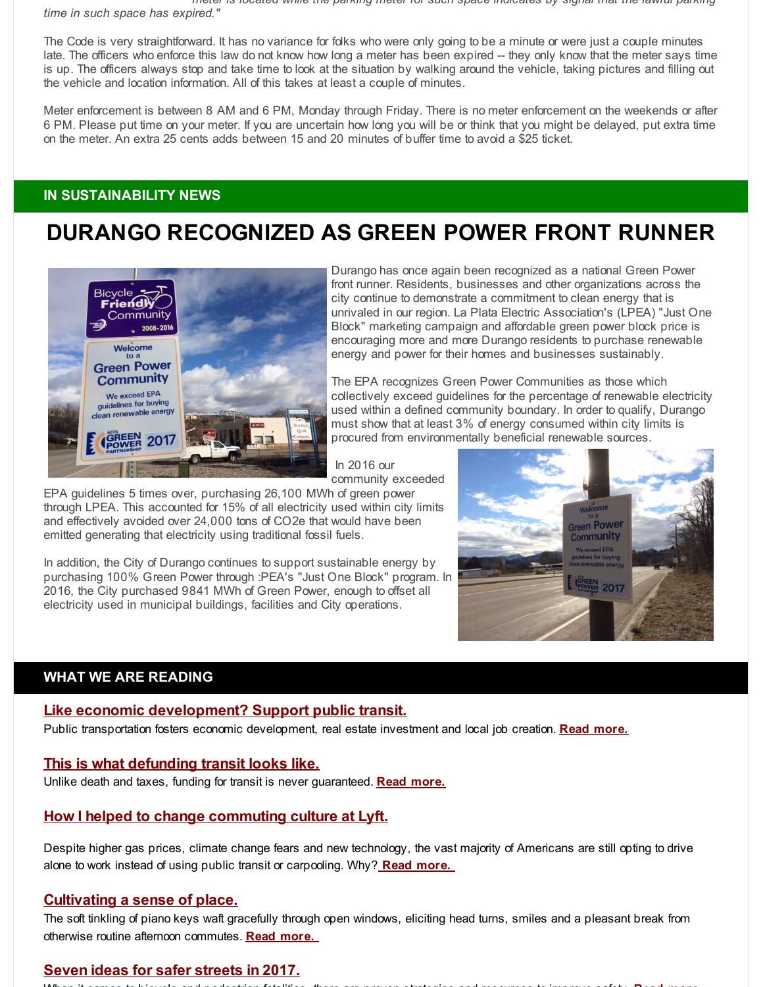*meter is located while the parking meter for such space indicates by signal that the lawful parking time in such space has expired."*

The Code is very straightforward. It has no variance for folks who were only going to be a minute or were just a couple minutes late. The officers who enforce this law do not know how long a meter has been expired -- they only know that the meter says time is up. The officers always stop and take time to look at the situation by walking around the vehicle, taking pictures and filling out the vehicle and location information. All of this takes at least a couple of minutes.

Meter enforcement is between 8 AM and 6 PM, Monday through Friday. There is no meter enforcement on the weekends or after 6 PM. Please put time on your meter. If you are uncertain how long you will be or think that you might be delayed, put extra time on the meter. An extra 25 cents adds between 15 and 20 minutes of buffer time to avoid a \$25 ticket.

### **IN SUSTAINABILITY NEWS**

# **DURANGO RECOGNIZED AS GREEN POWER FRONT RUNNER**



Durango has once again been recognized as a national Green Power front runner. Residents, businesses and other organizations across the city continue to demonstrate a commitment to clean energy that is unrivaled in our region. La Plata Electric Association's (LPEA) "Just One Block" marketing campaign and affordable green power block price is encouraging more and more Durango residents to purchase renewable energy and power for their homes and businesses sustainably.

The EPA recognizes Green Power Communities as those which collectively exceed guidelines for the percentage of renewable electricity used within a defined community boundary. In order to qualify, Durango must show that at least 3% of energy consumed within city limits is procured from environmentally beneficial renewable sources.

In 2016 our community exceeded

EPA guidelines 5 times over, purchasing 26,100 MWh of green power through LPEA. This accounted for 15% of all electricity used within city limits and effectively avoided over 24,000 tons of CO2e that would have been emitted generating that electricity using traditional fossil fuels.

In addition, the City of Durango continues to support sustainable energy by purchasing 100% Green Power through :PEA's "Just One Block" program. In 2016, the City purchased 9841 MWh of Green Power, enough to offset all electricity used in municipal buildings, facilities and City operations.



### **WHAT WE ARE READING**

#### **Like economic [development?](http://r20.rs6.net/tn.jsp?f=001wf6JbbRBbJBLbtO_82lvl96Pq3HkkF29EMfTke3EygPmeKaf3h2HHwTguSbbV-J0Hps6NncY19DuwMaxpnGPdQ0ODBUJ3_SgKcdajvF5ilon0DHl5Fmd08lXfslKVx6OEb0b1U3WnpT_6n8Bw0kcgJxKY5VlA4p5X3epmpGBJrqZW9Tzfp6GJPU7fdEeErBoz7EGa9EjhNpY95kwgNveUv6RloWXfw4L&c=&ch=) Support public transit.**

Public transportation fosters economic development, real estate investment and local job creation. **Read [more.](http://r20.rs6.net/tn.jsp?f=001wf6JbbRBbJBLbtO_82lvl96Pq3HkkF29EMfTke3EygPmeKaf3h2HHwTguSbbV-J0Hps6NncY19DuwMaxpnGPdQ0ODBUJ3_SgKcdajvF5ilon0DHl5Fmd08lXfslKVx6OEb0b1U3WnpT_6n8Bw0kcgJxKY5VlA4p5X3epmpGBJrqZW9Tzfp6GJPU7fdEeErBoz7EGa9EjhNpY95kwgNveUv6RloWXfw4L&c=&ch=)**

#### **This is what [defunding](http://r20.rs6.net/tn.jsp?f=001wf6JbbRBbJBLbtO_82lvl96Pq3HkkF29EMfTke3EygPmeKaf3h2HHwTguSbbV-J0MobXqwwjLxf2ee7n7S633y3Ofpjve-beu7nNtrfztZPhd7C9Iev4WcgHr94qTpX1lMbPdr1LqR6ShNl1oDF5M9MzCugAOll_pkTDYl86H5amNzbXe932dKv2XtNg3rvlMQxtt08xqTqZc2wBQRKAsSYXAsmFtbu378Etf4IIMs_iY82pQHqz_YA4eSgWKfy4&c=&ch=) transit looks like.**

Unlike death and taxes, funding for transit is never guaranteed. **Read [more.](http://r20.rs6.net/tn.jsp?f=001wf6JbbRBbJBLbtO_82lvl96Pq3HkkF29EMfTke3EygPmeKaf3h2HHwTguSbbV-J0MobXqwwjLxf2ee7n7S633y3Ofpjve-beu7nNtrfztZPhd7C9Iev4WcgHr94qTpX1lMbPdr1LqR6ShNl1oDF5M9MzCugAOll_pkTDYl86H5amNzbXe932dKv2XtNg3rvlMQxtt08xqTqZc2wBQRKAsSYXAsmFtbu378Etf4IIMs_iY82pQHqz_YA4eSgWKfy4&c=&ch=)**

#### **How I helped to change [commuting](http://r20.rs6.net/tn.jsp?f=001wf6JbbRBbJBLbtO_82lvl96Pq3HkkF29EMfTke3EygPmeKaf3h2HHwTguSbbV-J0DgvCl0C_H4cxmuqb_KqBs_i9WRei8ClnTCdKHYp_Bj36mlZ0HNi7vx-cyqG-gcZ1yxa2CWhMfwB5La3KjH1n7Q9mj4wcdjhcfFV3vv3WYf7pXoOZyO65sbzjYOGisDZjWcAxeU_Sss7ntOPMRnBvyW5KPodeMf9SvZ9opFAmvntfz8kFd5uLuZZpVsxYmvKS&c=&ch=) culture at Lyft.**

Despite higher gas prices, climate change fears and new technology, the vast majority of Americans are still opting to drive alone to work instead of using public transit or carpooling. Why? **Read [more.](http://r20.rs6.net/tn.jsp?f=001wf6JbbRBbJBLbtO_82lvl96Pq3HkkF29EMfTke3EygPmeKaf3h2HHwTguSbbV-J0DgvCl0C_H4cxmuqb_KqBs_i9WRei8ClnTCdKHYp_Bj36mlZ0HNi7vx-cyqG-gcZ1yxa2CWhMfwB5La3KjH1n7Q9mj4wcdjhcfFV3vv3WYf7pXoOZyO65sbzjYOGisDZjWcAxeU_Sss7ntOPMRnBvyW5KPodeMf9SvZ9opFAmvntfz8kFd5uLuZZpVsxYmvKS&c=&ch=)**

#### **[Cultivating](http://r20.rs6.net/tn.jsp?f=001wf6JbbRBbJBLbtO_82lvl96Pq3HkkF29EMfTke3EygPmeKaf3h2HHwTguSbbV-J0rJJtjOfuCYHqYAP980ll1wUXUpy9dlp7tWiMYvNfvgykcBpqTI1wk8kRqxJfU1sqsK8DPMW6CWW9fhJbMc8YPgDTaTRF5EQXqdqElywW9CV3n-tNHrL7aB77cktsvYUevt8yGy4nmUD4FCkGmiWXfwkgafXTuTQEQ5KNV4ccoE5NN_fMEjHlSBBnot2LJLQtlayrTZwI5o16U3rsX9-areO5BbMm1zUj_BM1avlltgW9mBtT3KDcSjvik8Qaz_4gJ64w5loHSqOxSDwa2LE-CPd9nQIaqBZl&c=&ch=) a sense of place.**

The soft tinkling of piano keys waft gracefully through open windows, eliciting head turns, smiles and a pleasant break from otherwise routine afternoon commutes. **Read [more.](http://r20.rs6.net/tn.jsp?f=001wf6JbbRBbJBLbtO_82lvl96Pq3HkkF29EMfTke3EygPmeKaf3h2HHwTguSbbV-J0rJJtjOfuCYHqYAP980ll1wUXUpy9dlp7tWiMYvNfvgykcBpqTI1wk8kRqxJfU1sqsK8DPMW6CWW9fhJbMc8YPgDTaTRF5EQXqdqElywW9CV3n-tNHrL7aB77cktsvYUevt8yGy4nmUD4FCkGmiWXfwkgafXTuTQEQ5KNV4ccoE5NN_fMEjHlSBBnot2LJLQtlayrTZwI5o16U3rsX9-areO5BbMm1zUj_BM1avlltgW9mBtT3KDcSjvik8Qaz_4gJ64w5loHSqOxSDwa2LE-CPd9nQIaqBZl&c=&ch=)**

#### **Seven ideas for safer [streets](http://r20.rs6.net/tn.jsp?f=001wf6JbbRBbJBLbtO_82lvl96Pq3HkkF29EMfTke3EygPmeKaf3h2HHwTguSbbV-J0jOtgyUFeB9gAKydHbmpSLS3HxddB4NIOYcmMY2syTbba2P0NjlXMfbkPwvY8d5MFzAZH84bIqOBY2lfBzXj4K0WD71DbvLbsjfRBKuhRizAFyvnao1lD5F51Gd5Z1AOfwnbjOGsDfi464iOytmIzfliahpiqmKBn4lmrPKXwFF4=&c=&ch=) in 2017.**

When it comes to bicycle and pedestrian fatalities, there are proven strategies and resources to improve safety. **Read more.**